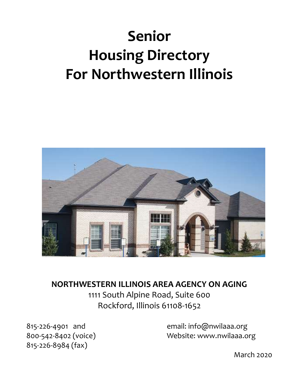# Senior Housing Directory For Northwestern Illinois



NORTHWESTERN ILLINOIS AREA AGENCY ON AGING 1111 South Alpine Road, Suite 600 Rockford, Illinois 61108-1652

815-226-8984 (fax)

815-226-4901 and email: info@nwilaaa.org 800-542-8402 (voice) Website: www.nwilaaa.org

March 2020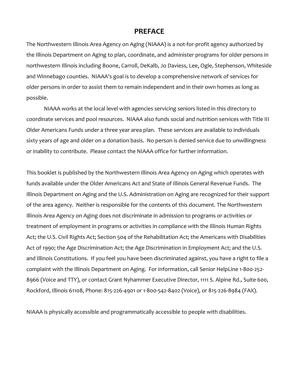#### PREFACE

The Northwestern Illinois Area Agency on Aging (NIAAA) is a not-for-profit agency authorized by the Illinois Department on Aging to plan, coordinate, and administer programs for older persons in northwestern Illinois including Boone, Carroll, DeKalb, Jo Daviess, Lee, Ogle, Stephenson, Whiteside and Winnebago counties. NIAAA's goal is to develop a comprehensive network of services for older persons in order to assist them to remain independent and in their own homes as long as possible.

 NIAAA works at the local level with agencies servicing seniors listed in this directory to coordinate services and pool resources. NIAAA also funds social and nutrition services with Title III Older Americans Funds under a three year area plan. These services are available to individuals sixty years of age and older on a donation basis. No person is denied service due to unwillingness or inability to contribute. Please contact the NIAAA office for further information.

This booklet is published by the Northwestern Illinois Area Agency on Aging which operates with funds available under the Older Americans Act and State of Illinois General Revenue Funds. The Illinois Department on Aging and the U.S. Administration on Aging are recognized for their support of the area agency. Neither is responsible for the contents of this document. The Northwestern Illinois Area Agency on Aging does not discriminate in admission to programs or activities or treatment of employment in programs or activities in compliance with the Illinois Human Rights Act; the U.S. Civil Rights Act; Section 504 of the Rehabilitation Act; the Americans with Disabilities Act of 1990; the Age Discrimination Act; the Age Discrimination in Employment Act; and the U.S. and Illinois Constitutions. If you feel you have been discriminated against, you have a right to file a complaint with the Illinois Department on Aging. For information, call Senior HelpLine 1-800-252- 8966 (Voice and TTY), or contact Grant Nyhammer Executive Director, 1111 S. Alpine Rd., Suite 600, Rockford, Illinois 61108, Phone: 815-226-4901 or 1-800-542-8402 (Voice), or 815-226-8984 (FAX).

NIAAA is physically accessible and programmatically accessible to people with disabilities.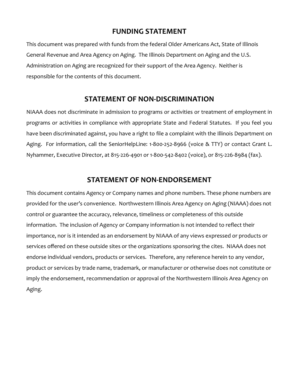## FUNDING STATEMENT

This document was prepared with funds from the federal Older Americans Act, State of Illinois General Revenue and Area Agency on Aging. The Illinois Department on Aging and the U.S. Administration on Aging are recognized for their support of the Area Agency. Neither is responsible for the contents of this document.

## STATEMENT OF NON-DISCRIMINATION

NIAAA does not discriminate in admission to programs or activities or treatment of employment in programs or activities in compliance with appropriate State and Federal Statutes. If you feel you have been discriminated against, you have a right to file a complaint with the Illinois Department on Aging. For information, call the SeniorHelpLine: 1-800-252-8966 (voice & TTY) or contact Grant L. Nyhammer, Executive Director, at 815-226-4901 or 1-800-542-8402 (voice), or 815-226-8984 (fax).

#### STATEMENT OF NON-ENDORSEMENT

This document contains Agency or Company names and phone numbers. These phone numbers are provided for the user's convenience. Northwestern Illinois Area Agency on Aging (NIAAA) does not control or guarantee the accuracy, relevance, timeliness or completeness of this outside information. The inclusion of Agency or Company information is not intended to reflect their importance, nor is it intended as an endorsement by NIAAA of any views expressed or products or services offered on these outside sites or the organizations sponsoring the cites. NIAAA does not endorse individual vendors, products or services. Therefore, any reference herein to any vendor, product or services by trade name, trademark, or manufacturer or otherwise does not constitute or imply the endorsement, recommendation or approval of the Northwestern Illinois Area Agency on Aging.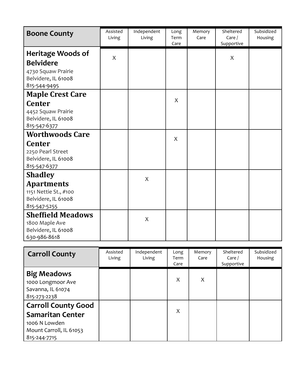| <b>Boone County</b>                                                                                   | Assisted<br>Living | Independent<br>Living | Long<br>Term<br>Care | Memory<br>Care | Sheltered<br>Care/<br>Supportive | Subsidized<br>Housing |
|-------------------------------------------------------------------------------------------------------|--------------------|-----------------------|----------------------|----------------|----------------------------------|-----------------------|
| Heritage Woods of<br><b>Belvidere</b><br>4730 Squaw Prairie<br>Belvidere, IL 61008<br>815-544-9495    | X                  |                       |                      |                | $\boldsymbol{\mathsf{X}}$        |                       |
| <b>Maple Crest Care</b><br><b>Center</b><br>4452 Squaw Prairie<br>Belvidere, IL 61008<br>815-547-6377 |                    |                       | X                    |                |                                  |                       |
| <b>Worthwoods Care</b><br><b>Center</b><br>2250 Pearl Street<br>Belvidere, IL 61008<br>815-547-6377   |                    |                       | X                    |                |                                  |                       |
| <b>Shadley</b><br><b>Apartments</b><br>1151 Nettie St., #100<br>Belvidere, IL 61008<br>815-547-5255   |                    | $\overline{X}$        |                      |                |                                  |                       |
| <b>Sheffield Meadows</b><br>1800 Maple Ave<br>Belvidere, IL 61008<br>630-986-8618                     |                    | X                     |                      |                |                                  |                       |

| <b>Carroll County</b>                                                                                             | Assisted<br>Living | Independent<br>Living | Long<br>Term<br>Care | Memory<br>Care | Sheltered<br>Care /<br>Supportive | Subsidized<br>Housing |
|-------------------------------------------------------------------------------------------------------------------|--------------------|-----------------------|----------------------|----------------|-----------------------------------|-----------------------|
| <b>Big Meadows</b><br>1000 Longmoor Ave<br>Savanna, IL 61074<br>815-273-2238                                      |                    |                       | X                    | X              |                                   |                       |
| <b>Carroll County Good</b><br><b>Samaritan Center</b><br>1006 N Lowden<br>Mount Carroll, IL 61053<br>815-244-7715 |                    |                       | X                    |                |                                   |                       |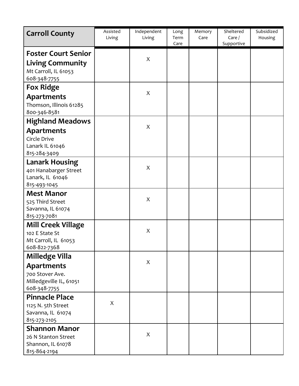| <b>Carroll County</b>                                                                         | Assisted<br>Living | Independent<br>Living | Long<br>Term<br>Care | Memory<br>Care | Sheltered<br>Care/<br>Supportive | Subsidized<br>Housing |
|-----------------------------------------------------------------------------------------------|--------------------|-----------------------|----------------------|----------------|----------------------------------|-----------------------|
| <b>Foster Court Senior</b><br><b>Living Community</b><br>Mt Carroll, IL 61053<br>608-348-7755 |                    | X                     |                      |                |                                  |                       |
| <b>Fox Ridge</b>                                                                              |                    | X                     |                      |                |                                  |                       |
| <b>Apartments</b><br>Thomson, Illinois 61285<br>800-346-8581                                  |                    |                       |                      |                |                                  |                       |
| <b>Highland Meadows</b>                                                                       |                    | X                     |                      |                |                                  |                       |
| <b>Apartments</b><br>Circle Drive<br>Lanark IL 61046<br>815-284-3409                          |                    |                       |                      |                |                                  |                       |
| <b>Lanark Housing</b><br>401 Hanabarger Street<br>Lanark, IL 61046<br>815-493-1045            |                    | X                     |                      |                |                                  |                       |
| <b>Mest Manor</b><br>525 Third Street<br>Savanna, IL 61074<br>815-273-7081                    |                    | X                     |                      |                |                                  |                       |
| <b>Mill Creek Village</b><br>102 E State St<br>Mt Carroll, IL 61053<br>608-822-7368           |                    | X                     |                      |                |                                  |                       |
| <b>Milledge Villa</b>                                                                         |                    |                       |                      |                |                                  |                       |
| <b>Apartments</b><br>700 Stover Ave.<br>Milledgeville IL, 61051<br>608-348-7755               |                    | X                     |                      |                |                                  |                       |
| <b>Pinnacle Place</b><br>1125 N. 5th Street<br>Savanna, IL 61074<br>815-273-2105              | X                  |                       |                      |                |                                  |                       |
| <b>Shannon Manor</b>                                                                          |                    |                       |                      |                |                                  |                       |
| 26 N Stanton Street<br>Shannon, IL 61078<br>815-864-2194                                      |                    | X                     |                      |                |                                  |                       |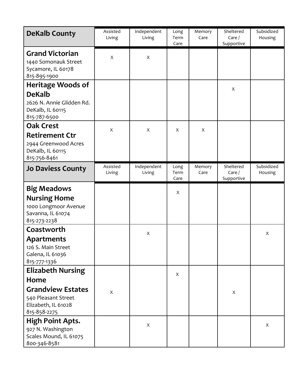| <b>DeKalb County</b>                                                                 | Assisted<br>Living | Independent<br>Living | Long<br>Term<br>Care | Memory<br>Care | Sheltered<br>Care $/$<br>Supportive | Subsidized<br>Housing |
|--------------------------------------------------------------------------------------|--------------------|-----------------------|----------------------|----------------|-------------------------------------|-----------------------|
| <b>Grand Victorian</b><br>1440 Somonauk Street<br>Sycamore, IL 60178<br>815-895-1900 | $\boldsymbol{X}$   | X                     |                      |                |                                     |                       |
| <b>Heritage Woods of</b>                                                             |                    |                       |                      |                | X                                   |                       |
| <b>DeKalb</b><br>2626 N. Annie Glidden Rd.<br>DeKalb, IL 60115<br>815-787-6500       |                    |                       |                      |                |                                     |                       |
| <b>Oak Crest</b>                                                                     | $\boldsymbol{X}$   | X                     | X                    | X              |                                     |                       |
| <b>Retirement Ctr</b><br>2944 Greenwood Acres<br>DeKalb, IL 60115<br>815-756-8461    |                    |                       |                      |                |                                     |                       |
| <b>Jo Daviess County</b>                                                             | Assisted<br>Living | Independent<br>Living | Long<br>Term<br>Care | Memory<br>Care | Sheltered<br>Care/<br>Supportive    | Subsidized<br>Housing |
| <b>Big Meadows</b>                                                                   |                    |                       | X                    |                |                                     |                       |
| <b>Nursing Home</b><br>1000 Longmoor Avenue                                          |                    |                       |                      |                |                                     |                       |
| Savanna, IL 61074<br>815-273-2238                                                    |                    |                       |                      |                |                                     |                       |
| Coastworth                                                                           |                    | X                     |                      |                |                                     | X                     |
| <b>Apartments</b>                                                                    |                    |                       |                      |                |                                     |                       |
| 126 S. Main Street<br>Galena, IL 61036                                               |                    |                       |                      |                |                                     |                       |
| 815-777-1336                                                                         |                    |                       |                      |                |                                     |                       |
| <b>Elizabeth Nursing</b>                                                             |                    |                       | X                    |                |                                     |                       |
| Home                                                                                 |                    |                       |                      |                |                                     |                       |
| <b>Grandview Estates</b>                                                             | $\mathsf{X}$       |                       |                      |                | X                                   |                       |
| 540 Pleasant Street<br>Elizabeth, IL 61028                                           |                    |                       |                      |                |                                     |                       |
| 815-858-2275                                                                         |                    |                       |                      |                |                                     |                       |
| <b>High Point Apts.</b>                                                              |                    | X                     |                      |                |                                     | X                     |
| 927 N. Washington<br>Scales Mound, IL 61075<br>800-346-8581                          |                    |                       |                      |                |                                     |                       |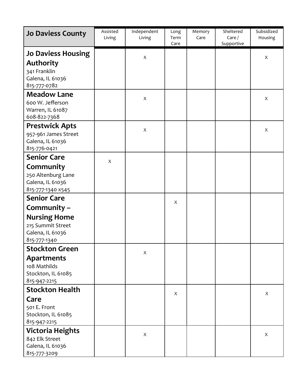| <b>Jo Daviess County</b>                                                                          | Assisted<br>Living        | Independent<br>Living     | Long<br>Term<br>Care | Memory<br>Care | Sheltered<br>Care/<br>Supportive | Subsidized<br>Housing |
|---------------------------------------------------------------------------------------------------|---------------------------|---------------------------|----------------------|----------------|----------------------------------|-----------------------|
| <b>Jo Daviess Housing</b><br><b>Authority</b><br>341 Franklin<br>Galena, IL 61036<br>815-777-0782 |                           | $\boldsymbol{X}$          |                      |                |                                  | X                     |
| <b>Meadow Lane</b><br>600 W. Jefferson<br>Warren, IL 61087<br>608-822-7368                        |                           | $\boldsymbol{X}$          |                      |                |                                  | X                     |
| <b>Prestwick Apts</b><br>957-961 James Street<br>Galena, IL 61036<br>815-776-0421                 |                           | $\mathsf X$               |                      |                |                                  | X                     |
| <b>Senior Care</b>                                                                                | $\boldsymbol{\mathsf{X}}$ |                           |                      |                |                                  |                       |
| Community<br>250 Altenburg Lane<br>Galena, IL 61036<br>815-777-1340 x545                          |                           |                           |                      |                |                                  |                       |
| <b>Senior Care</b>                                                                                |                           |                           | X                    |                |                                  |                       |
| Community -<br><b>Nursing Home</b><br>215 Summit Street<br>Galena, IL 61036<br>815-777-1340       |                           |                           |                      |                |                                  |                       |
| <b>Stockton Green</b>                                                                             |                           | $\mathsf X$               |                      |                |                                  |                       |
| <b>Apartments</b><br>108 Mathilds<br>Stockton, IL 61085<br>815-947-2215                           |                           |                           |                      |                |                                  |                       |
| <b>Stockton Health</b>                                                                            |                           |                           | X                    |                |                                  | X                     |
| Care<br>501 E. Front<br>Stockton, IL 61085<br>815-947-2215                                        |                           |                           |                      |                |                                  |                       |
| <b>Victoria Heights</b>                                                                           |                           | $\boldsymbol{\mathsf{X}}$ |                      |                |                                  | X                     |
| 842 Elk Street<br>Galena, IL 61036<br>815-777-3209                                                |                           |                           |                      |                |                                  |                       |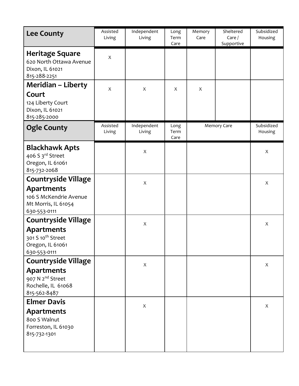| <b>Lee County</b>                                                                       | Assisted<br>Living | Independent<br>Living     | Long<br>Term<br>Care | Memory<br>Care | Sheltered<br>Care/<br>Supportive | Subsidized<br>Housing |
|-----------------------------------------------------------------------------------------|--------------------|---------------------------|----------------------|----------------|----------------------------------|-----------------------|
| <b>Heritage Square</b><br>620 North Ottawa Avenue<br>Dixon, IL 61021<br>815-288-2251    | X                  |                           |                      |                |                                  |                       |
| <b>Meridian - Liberty</b>                                                               | X                  | X                         | X                    | X              |                                  |                       |
| Court<br>124 Liberty Court<br>Dixon, IL 61021<br>815-285-2000                           |                    |                           |                      |                |                                  |                       |
| <b>Ogle County</b>                                                                      | Assisted<br>Living | Independent<br>Living     | Long<br>Term<br>Care |                | Memory Care                      | Subsidized<br>Housing |
| <b>Blackhawk Apts</b><br>406 S 3rd Street<br>Oregon, IL 61061<br>815-732-2068           |                    | $\boldsymbol{\mathsf{X}}$ |                      |                |                                  | X                     |
| <b>Countryside Village</b>                                                              |                    | X                         |                      |                |                                  | X                     |
| <b>Apartments</b><br>106 S McKendrie Avenue<br>Mt Morris, IL 61054<br>630-553-0111      |                    |                           |                      |                |                                  |                       |
| <b>Countryside Village</b>                                                              |                    | X                         |                      |                |                                  | X                     |
| Apartments<br>301 S 10 <sup>th</sup> Street<br>Oregon, IL 61061<br>630-553-0111         |                    |                           |                      |                |                                  |                       |
| <b>Countryside Village</b>                                                              |                    | $\mathsf X$               |                      |                |                                  | X                     |
| <b>Apartments</b><br>907 N 2 <sup>nd</sup> Street<br>Rochelle, IL 61068<br>815-562-8487 |                    |                           |                      |                |                                  |                       |
| <b>Elmer Davis</b>                                                                      |                    | $\mathsf X$               |                      |                |                                  | X                     |
| <b>Apartments</b><br>800 S Walnut<br>Forreston, IL 61030<br>815-732-1301                |                    |                           |                      |                |                                  |                       |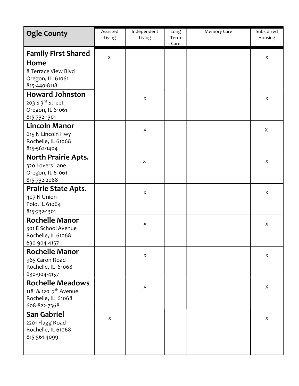| <b>Ogle County</b>                                                                                | Assisted<br>Living | Independent<br>Living | Long<br>Term<br>Care | <b>Memory Care</b> | Subsidized<br>Housing |
|---------------------------------------------------------------------------------------------------|--------------------|-----------------------|----------------------|--------------------|-----------------------|
| <b>Family First Shared</b><br>Home<br>8 Terrace View Blvd<br>Oregon, IL 61061<br>815-440-8118     | $\sf X$            |                       |                      |                    | X                     |
| <b>Howard Johnston</b><br>203 S 3rd Street<br>Oregon, IL 61061<br>815-732-1301                    |                    | $\mathsf X$           |                      |                    | X                     |
| <b>Lincoln Manor</b><br>615 N Lincoln Hwy<br>Rochelle, IL 61068<br>815-562-1404                   |                    | $\mathsf X$           |                      |                    | X                     |
| <b>North Prairie Apts.</b><br>320 Lovers Lane<br>Oregon, IL 61061<br>815-732-2068                 |                    | $\mathsf{X}$          |                      |                    | X                     |
| <b>Prairie State Apts.</b><br>407 N Union<br>Polo, IL 61064<br>815-732-1301                       |                    | $\mathsf X$           |                      |                    | X                     |
| <b>Rochelle Manor</b><br>301 E School Avenue<br>Rochelle, IL 61068<br>630-904-4157                |                    | $\mathsf X$           |                      |                    | X                     |
| <b>Rochelle Manor</b><br>965 Caron Road<br>Rochelle, IL 61068<br>630-904-4157                     |                    | $\mathsf X$           |                      |                    | X                     |
| <b>Rochelle Meadows</b><br>118 & 120 7 <sup>th</sup> Avenue<br>Rochelle, IL 61068<br>608-822-7368 |                    | $\mathsf{X}$          |                      |                    | X                     |
| <b>San Gabriel</b><br>2201 Flagg Road<br>Rochelle, IL 61068<br>815-561-4099                       | $\boldsymbol{X}$   |                       |                      |                    | X                     |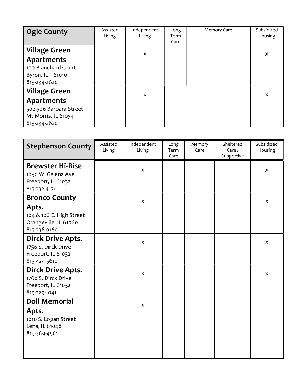| <b>Ogle County</b>              | Assisted<br>Living | Independent<br>Living | Long<br>Term<br>Care | <b>Memory Care</b> | Subsidized<br>Housing |
|---------------------------------|--------------------|-----------------------|----------------------|--------------------|-----------------------|
| <b>Village Green</b>            |                    | X                     |                      |                    | X                     |
| <b>Apartments</b>               |                    |                       |                      |                    |                       |
| 100 Blanchard Court             |                    |                       |                      |                    |                       |
| Byron, IL 61010<br>815-234-2620 |                    |                       |                      |                    |                       |
| <b>Village Green</b>            |                    | X                     |                      |                    | X                     |
| <b>Apartments</b>               |                    |                       |                      |                    |                       |
| 502-506 Barbara Street          |                    |                       |                      |                    |                       |
| Mt Morris, IL 61054             |                    |                       |                      |                    |                       |
| 815-234-2620                    |                    |                       |                      |                    |                       |

| <b>Stephenson County</b>                                                                | Assisted<br>Living | Independent<br>Living | Long<br>Term<br>Care | Memory<br>Care | Sheltered<br>Care/<br>Supportive | Subsidized<br>Housing |
|-----------------------------------------------------------------------------------------|--------------------|-----------------------|----------------------|----------------|----------------------------------|-----------------------|
| <b>Brewster Hi-Rise</b><br>1050 W. Galena Ave<br>Freeport, IL 61032<br>815-232-4171     |                    | $\mathsf{X}$          |                      |                |                                  | $\boldsymbol{X}$      |
| <b>Bronco County</b>                                                                    |                    | $\mathsf X$           |                      |                |                                  | X                     |
| Apts.<br>104 & 106 E. High Street<br>Orangeville, IL 61060<br>815-238-0160              |                    |                       |                      |                |                                  |                       |
| <b>Dirck Drive Apts.</b><br>1756 S. Dirck Drive<br>Freeport, IL 61032<br>815-424-5610   |                    | $\mathsf{X}$          |                      |                |                                  | X                     |
| Dirck Drive Apts.<br>1760 S. Dirck Drive<br>Freeport, IL 61032<br>815-229-1041          |                    | $\mathsf{X}$          |                      |                |                                  | $\boldsymbol{X}$      |
| <b>Doll Memorial</b><br>Apts.<br>1010 S. Logan Street<br>Lena, IL 61048<br>815-369-4561 |                    | $\mathsf{X}$          |                      |                |                                  |                       |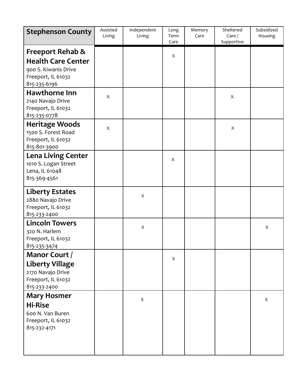| <b>Stephenson County</b>                                                                                               | Assisted<br>Living | Independent<br>Living | Long<br>Term<br>Care | Memory<br>Care | Sheltered<br>Care $/$<br>Supportive | Subsidized<br>Housing |
|------------------------------------------------------------------------------------------------------------------------|--------------------|-----------------------|----------------------|----------------|-------------------------------------|-----------------------|
| <b>Freeport Rehab &amp;</b><br><b>Health Care Center</b><br>900 S. Kiwanis Drive<br>Freeport, IL 61032<br>815-235-6196 |                    |                       | X                    |                |                                     |                       |
| <b>Hawthorne Inn</b><br>2140 Navajo Drive<br>Freeport, IL 61032<br>815-235-0778                                        | X                  |                       |                      |                | X                                   |                       |
| <b>Heritage Woods</b><br>1500 S. Forest Road<br>Freeport, IL 61032<br>815-801-3900                                     | X                  |                       |                      |                | X                                   |                       |
| <b>Lena Living Center</b><br>1010 S. Logan Street<br>Lena, IL 61048<br>815-369-4561                                    |                    |                       | X                    |                |                                     |                       |
| <b>Liberty Estates</b><br>2880 Navajo Drive<br>Freeport, IL 61032<br>815-233-2400                                      |                    | X                     |                      |                |                                     |                       |
| <b>Lincoln Towers</b><br>320 N. Harlem<br>Freeport, IL 61032<br>815-235-3474                                           |                    | X                     |                      |                |                                     | X                     |
| Manor Court /<br><b>Liberty Village</b><br>2170 Navajo Drive<br>Freeport, IL 61032<br>815-233-2400                     |                    |                       | X                    |                |                                     |                       |
| <b>Mary Hosmer</b><br><b>Hi-Rise</b><br>600 N. Van Buren<br>Freeport, IL 61032<br>815-232-4171                         |                    | $\mathsf X$           |                      |                |                                     | X                     |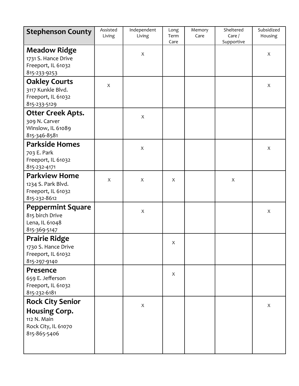| <b>Stephenson County</b>                                                                              | Assisted<br>Living | Independent<br>Living | Long<br>Term<br>Care | Memory<br>Care | Sheltered<br>Care/<br>Supportive | Subsidized<br>Housing |
|-------------------------------------------------------------------------------------------------------|--------------------|-----------------------|----------------------|----------------|----------------------------------|-----------------------|
| <b>Meadow Ridge</b><br>1731 S. Hance Drive<br>Freeport, IL 61032<br>815-233-9253                      |                    | $\mathsf{X}$          |                      |                |                                  | X                     |
| <b>Oakley Courts</b><br>3117 Kunkle Blvd.<br>Freeport, IL 61032<br>815-233-5129                       | X                  |                       |                      |                |                                  | X                     |
| <b>Otter Creek Apts.</b><br>309 N. Carver<br>Winslow, IL 61089<br>815-346-8581                        |                    | X                     |                      |                |                                  |                       |
| <b>Parkside Homes</b><br>703 E. Park<br>Freeport, IL 61032<br>815-232-4171                            |                    | $\mathsf X$           |                      |                |                                  | $\mathsf X$           |
| <b>Parkview Home</b><br>1234 S. Park Blvd.<br>Freeport, IL 61032<br>815-232-8612                      | X                  | X                     | X                    |                | $\boldsymbol{X}$                 |                       |
| <b>Peppermint Square</b><br>815 birch Drive<br>Lena, IL 61048<br>815-369-5147                         |                    | X                     |                      |                |                                  | X                     |
| <b>Prairie Ridge</b><br>1730 S. Hance Drive<br>Freeport, IL 61032<br>815-297-9140                     |                    |                       | X                    |                |                                  |                       |
| Presence<br>659 E. Jefferson<br>Freeport, IL 61032<br>815-232-6181                                    |                    |                       | X                    |                |                                  |                       |
| <b>Rock City Senior</b><br><b>Housing Corp.</b><br>112 N. Main<br>Rock City, IL 61070<br>815-865-5406 |                    | $\mathsf X$           |                      |                |                                  | X                     |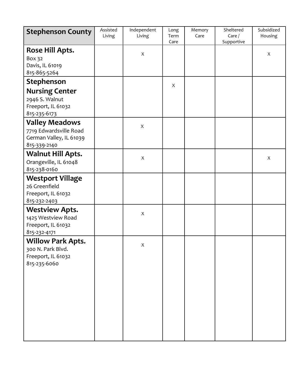| <b>Stephenson County</b>                                                                   | Assisted<br>Living | Independent<br>Living | Long<br>Term<br>Care | Memory<br>Care | Sheltered<br>Care/<br>Supportive | Subsidized<br>Housing |
|--------------------------------------------------------------------------------------------|--------------------|-----------------------|----------------------|----------------|----------------------------------|-----------------------|
| <b>Rose Hill Apts.</b><br>Box 32<br>Davis, IL 61019<br>815-865-5264                        |                    | $\mathsf X$           |                      |                |                                  | $\mathsf X$           |
| Stephenson                                                                                 |                    |                       | X                    |                |                                  |                       |
| <b>Nursing Center</b><br>2946 S. Walnut<br>Freeport, IL 61032<br>815-235-6173              |                    |                       |                      |                |                                  |                       |
| <b>Valley Meadows</b><br>7719 Edwardsville Road<br>German Valley, IL 61039<br>815-339-2140 |                    | $\mathsf{X}$          |                      |                |                                  |                       |
| <b>Walnut Hill Apts.</b><br>Orangeville, IL 61048<br>815-238-0160                          |                    | X                     |                      |                |                                  | X                     |
| <b>Westport Village</b><br>26 Greenfield<br>Freeport, IL 61032<br>815-232-2403             |                    |                       |                      |                |                                  |                       |
| <b>Westview Apts.</b><br>1425 Westview Road<br>Freeport, IL 61032<br>815-232-4171          |                    | Χ                     |                      |                |                                  |                       |
| <b>Willow Park Apts.</b><br>300 N. Park Blvd.<br>Freeport, IL 61032<br>815-235-6060        |                    | X                     |                      |                |                                  |                       |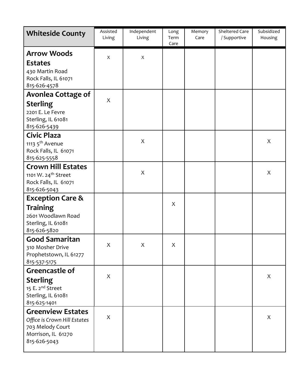| <b>Whiteside County</b>                                                                                            | Assisted<br>Living | Independent<br>Living | Long<br>Term<br>Care | Memory<br>Care | <b>Sheltered Care</b><br>/ Supportive | Subsidized<br>Housing |
|--------------------------------------------------------------------------------------------------------------------|--------------------|-----------------------|----------------------|----------------|---------------------------------------|-----------------------|
| <b>Arrow Woods</b><br><b>Estates</b><br>430 Martin Road<br>Rock Falls, IL 61071<br>815-626-4578                    | X                  | Χ                     |                      |                |                                       |                       |
| <b>Avonlea Cottage of</b><br><b>Sterling</b><br>2201 E. Le Fevre<br>Sterling, IL 61081<br>815-626-5439             | X                  |                       |                      |                |                                       |                       |
| Civic Plaza<br>1113 5 <sup>th</sup> Avenue<br>Rock Falls, IL 61071<br>815-625-5558                                 |                    | X                     |                      |                |                                       | X                     |
| <b>Crown Hill Estates</b><br>1101 W. 24 <sup>th</sup> Street<br>Rock Falls, IL 61071<br>815-626-5043               |                    | X                     |                      |                |                                       | X                     |
| <b>Exception Care &amp;</b><br><b>Training</b><br>2601 Woodlawn Road<br>Sterling, IL 61081<br>815-626-5820         |                    |                       | X                    |                |                                       |                       |
| <b>Good Samaritan</b><br>310 Mosher Drive<br>Prophetstown, IL 61277<br>815-537-5175                                | X                  | X                     | X                    |                |                                       |                       |
| Greencastle of<br><b>Sterling</b><br>15 E. 2 <sup>nd</sup> Street<br>Sterling, IL 61081<br>815-625-1401            | X                  |                       |                      |                |                                       | X                     |
| <b>Greenview Estates</b><br>Office is Crown Hill Estates<br>703 Melody Court<br>Morrison, IL 61270<br>815-626-5043 | X                  |                       |                      |                |                                       | X                     |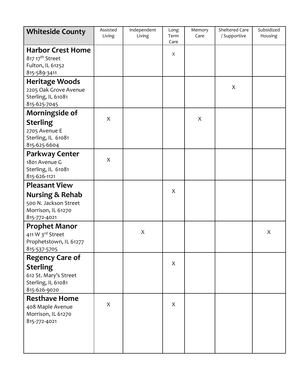| <b>Whiteside County</b>                | Assisted<br>Living | Independent<br>Living | Long<br>Term | Memory<br>Care | Sheltered Care<br>/ Supportive | Subsidized<br>Housing |
|----------------------------------------|--------------------|-----------------------|--------------|----------------|--------------------------------|-----------------------|
| <b>Harbor Crest Home</b>               |                    |                       | Care         |                |                                |                       |
| 817 17 <sup>th</sup> Street            |                    |                       | X            |                |                                |                       |
| Fulton, IL 61252                       |                    |                       |              |                |                                |                       |
| 815-589-3411                           |                    |                       |              |                |                                |                       |
| <b>Heritage Woods</b>                  |                    |                       |              |                |                                |                       |
| 2205 Oak Grove Avenue                  |                    |                       |              |                | X                              |                       |
| Sterling, IL 61081                     |                    |                       |              |                |                                |                       |
| 815-625-7045                           |                    |                       |              |                |                                |                       |
| Morningside of                         | X                  |                       |              | X              |                                |                       |
| <b>Sterling</b>                        |                    |                       |              |                |                                |                       |
| 2705 Avenue E                          |                    |                       |              |                |                                |                       |
| Sterling, IL 61081                     |                    |                       |              |                |                                |                       |
| 815-625-6604                           |                    |                       |              |                |                                |                       |
| <b>Parkway Center</b><br>1801 Avenue G | X                  |                       |              |                |                                |                       |
| Sterling, IL 61081                     |                    |                       |              |                |                                |                       |
| 815-626-1121                           |                    |                       |              |                |                                |                       |
| <b>Pleasant View</b>                   |                    |                       |              |                |                                |                       |
| <b>Nursing &amp; Rehab</b>             |                    |                       | X            |                |                                |                       |
| 500 N. Jackson Street                  |                    |                       |              |                |                                |                       |
| Morrison, IL 61270                     |                    |                       |              |                |                                |                       |
| 815-772-4021                           |                    |                       |              |                |                                |                       |
| <b>Prophet Manor</b>                   |                    |                       |              |                |                                |                       |
| 411 W 3rd Street                       |                    | $\mathsf X$           |              |                |                                | X                     |
| Prophetstown, IL 61277                 |                    |                       |              |                |                                |                       |
| 815-537-5705                           |                    |                       |              |                |                                |                       |
| <b>Regency Care of</b>                 |                    |                       | X            |                |                                |                       |
| <b>Sterling</b>                        |                    |                       |              |                |                                |                       |
| 612 St. Mary's Street                  |                    |                       |              |                |                                |                       |
| Sterling, IL 61081                     |                    |                       |              |                |                                |                       |
| 815-626-9020                           |                    |                       |              |                |                                |                       |
| <b>Resthave Home</b>                   | X                  |                       | X            |                |                                |                       |
| 408 Maple Avenue                       |                    |                       |              |                |                                |                       |
| Morrison, IL 61270<br>815-772-4021     |                    |                       |              |                |                                |                       |
|                                        |                    |                       |              |                |                                |                       |
|                                        |                    |                       |              |                |                                |                       |
|                                        |                    |                       |              |                |                                |                       |
|                                        |                    |                       |              |                |                                |                       |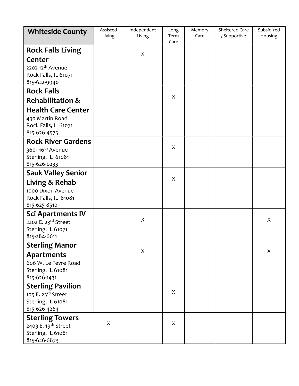| <b>Whiteside County</b>                                                                                  | Assisted<br>Living | Independent<br>Living | Long<br>Term<br>Care | Memory<br>Care | Sheltered Care<br>/ Supportive | Subsidized<br>Housing |
|----------------------------------------------------------------------------------------------------------|--------------------|-----------------------|----------------------|----------------|--------------------------------|-----------------------|
| <b>Rock Falls Living</b><br><b>Center</b><br>2202 12 <sup>th</sup> Avenue<br>Rock Falls, IL 61071        |                    | X                     |                      |                |                                |                       |
| 815-622-9940<br><b>Rock Falls</b>                                                                        |                    |                       |                      |                |                                |                       |
| <b>Rehabilitation &amp;</b>                                                                              |                    |                       | X                    |                |                                |                       |
| <b>Health Care Center</b><br>430 Martin Road<br>Rock Falls, IL 61071<br>815-626-4575                     |                    |                       |                      |                |                                |                       |
| <b>Rock River Gardens</b><br>3601 16 <sup>th</sup> Avenue<br>Sterling, IL 61081<br>815-626-0233          |                    |                       | X                    |                |                                |                       |
| <b>Sauk Valley Senior</b><br>Living & Rehab<br>1000 Dixon Avenue<br>Rock Falls, IL 61081<br>815-625-8510 |                    |                       | X                    |                |                                |                       |
| <b>Sci Apartments IV</b><br>2202 E. 23rd Street<br>Sterling, IL 61071<br>815-284-6611                    |                    | X                     |                      |                |                                | X                     |
| <b>Sterling Manor</b><br><b>Apartments</b><br>606 W. Le Fevre Road<br>Sterling, IL 61081<br>815-626-1431 |                    | X                     |                      |                |                                | X                     |
| <b>Sterling Pavilion</b><br>105 E. 23rd Street<br>Sterling, IL 61081<br>815-626-4264                     |                    |                       | X                    |                |                                |                       |
| <b>Sterling Towers</b><br>2403 E. 19 <sup>th</sup> Street<br>Sterling, IL 61081<br>815-626-6873          | X                  |                       | X                    |                |                                |                       |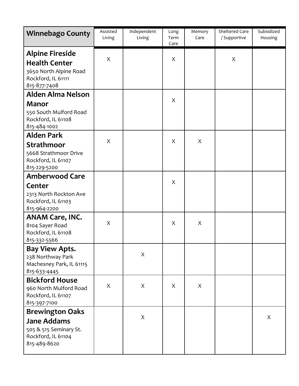| <b>Winnebago County</b>                                                                                        | Assisted<br>Living | Independent<br>Living | Long<br>Term<br>Care | Memory<br>Care | <b>Sheltered Care</b><br>/ Supportive | Subsidized<br>Housing |
|----------------------------------------------------------------------------------------------------------------|--------------------|-----------------------|----------------------|----------------|---------------------------------------|-----------------------|
| <b>Alpine Fireside</b><br><b>Health Center</b><br>3650 North Alpine Road<br>Rockford, IL 61111<br>815-877-7408 | X                  |                       | X                    |                | X                                     |                       |
| <b>Alden Alma Nelson</b>                                                                                       |                    |                       |                      |                |                                       |                       |
| <b>Manor</b><br>550 South Mulford Road<br>Rockford, IL 61108<br>815-484-1002                                   |                    |                       | X                    |                |                                       |                       |
| <b>Alden Park</b>                                                                                              |                    |                       |                      |                |                                       |                       |
| <b>Strathmoor</b><br>5668 Strathmoor Drive<br>Rockford, IL 61107<br>815-229-5200                               | X                  |                       | X                    | X              |                                       |                       |
| <b>Amberwood Care</b>                                                                                          |                    |                       |                      |                |                                       |                       |
| Center<br>2313 North Rockton Ave<br>Rockford, IL 61103<br>815-964-2200                                         |                    |                       | X                    |                |                                       |                       |
| <b>ANAM Care, INC.</b><br>8104 Sayer Road<br>Rockford, IL 61108<br>815-332-5566                                | X                  |                       | X                    | X              |                                       |                       |
| <b>Bay View Apts.</b><br>238 Northway Park<br>Machesney Park, IL 61115<br>815-633-4445                         |                    | X                     |                      |                |                                       |                       |
| <b>Bickford House</b><br>960 North Mulford Road<br>Rockford, IL 61107<br>815-397-7100                          | X                  | X                     | X                    | X              |                                       |                       |
| <b>Brewington Oaks</b>                                                                                         |                    |                       |                      |                |                                       |                       |
| <b>Jane Addams</b><br>505 & 515 Seminary St.<br>Rockford, IL 61104<br>815-489-8620                             |                    | X                     |                      |                |                                       | X                     |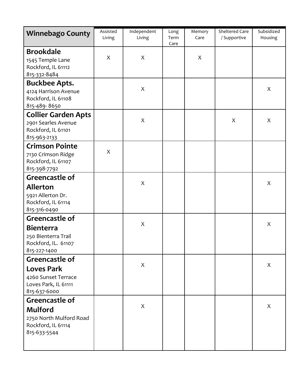| <b>Winnebago County</b>                                                                            | Assisted<br>Living | Independent<br>Living | Long<br>Term<br>Care | Memory<br>Care | Sheltered Care<br>/ Supportive | Subsidized<br>Housing |
|----------------------------------------------------------------------------------------------------|--------------------|-----------------------|----------------------|----------------|--------------------------------|-----------------------|
| <b>Brookdale</b><br>1545 Temple Lane<br>Rockford, IL 61112<br>815-332-8484                         | X                  | X                     |                      | X              |                                |                       |
| <b>Buckbee Apts.</b><br>4124 Harrison Avenue<br>Rockford, IL 61108<br>815-489-8650                 |                    | X                     |                      |                |                                | X                     |
| <b>Collier Garden Apts</b><br>2901 Searles Avenue<br>Rockford, IL 61101<br>815-963-2133            |                    | X                     |                      |                | X                              | X                     |
| <b>Crimson Pointe</b><br>7130 Crimson Ridge<br>Rockford, IL 61107<br>815-398-7792                  | X                  |                       |                      |                |                                |                       |
| Greencastle of<br><b>Allerton</b><br>5921 Allerton Dr.<br>Rockford, IL 61114<br>815-316-0490       |                    | X                     |                      |                |                                | X                     |
| Greencastle of<br><b>Bienterra</b><br>250 Bienterra Trail<br>Rockford, IL. 61107<br>815-227-1400   |                    | X                     |                      |                |                                | X                     |
| Greencastle of<br><b>Loves Park</b><br>4260 Sunset Terrace<br>Loves Park, IL 61111<br>815-637-6000 |                    | X                     |                      |                |                                | X                     |
| Greencastle of<br><b>Mulford</b><br>2750 North Mulford Road<br>Rockford, IL 61114<br>815-633-5544  |                    | X                     |                      |                |                                | X                     |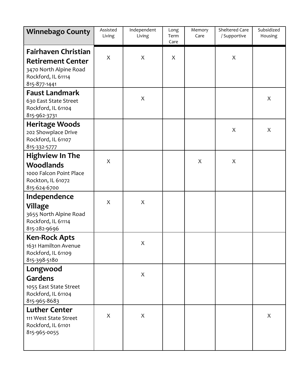| <b>Winnebago County</b>                                                                                                | Assisted<br>Living | Independent<br>Living | Long<br>Term<br>Care | Memory<br>Care | Sheltered Care<br>/ Supportive | Subsidized<br>Housing |
|------------------------------------------------------------------------------------------------------------------------|--------------------|-----------------------|----------------------|----------------|--------------------------------|-----------------------|
| <b>Fairhaven Christian</b><br><b>Retirement Center</b><br>3470 North Alpine Road<br>Rockford, IL 61114<br>815-877-1441 | X                  | X                     | X                    |                | X                              |                       |
| <b>Faust Landmark</b><br>630 East State Street<br>Rockford, IL 61104<br>815-962-3731                                   |                    | X                     |                      |                |                                | X                     |
| <b>Heritage Woods</b><br>202 Showplace Drive<br>Rockford, IL 61107<br>815-332-5777                                     |                    |                       |                      |                | X                              | X                     |
| <b>Highview In The</b><br><b>Woodlands</b><br>1000 Falcon Point Place<br>Rockton, IL 61072<br>815-624-6700             | X                  |                       |                      | X              | X                              |                       |
| Independence<br><b>Village</b><br>3655 North Alpine Road<br>Rockford, IL 61114<br>815-282-9696                         | X                  | X                     |                      |                |                                |                       |
| <b>Ken-Rock Apts</b><br>1631 Hamilton Avenue<br>Rockford, IL 61109<br>815-398-5180                                     |                    | X                     |                      |                |                                |                       |
| Longwood<br><b>Gardens</b><br>1055 East State Street<br>Rockford, IL 61104<br>815-965-8683                             |                    | X                     |                      |                |                                |                       |
| <b>Luther Center</b><br>111 West State Street<br>Rockford, IL 61101<br>815-965-0055                                    | X                  | X                     |                      |                |                                | X                     |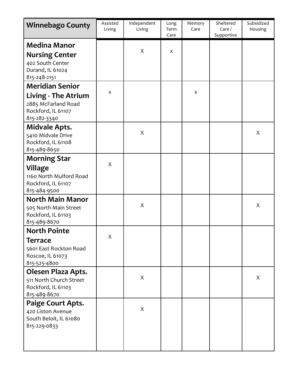| <b>Winnebago County</b>                                                                              | Assisted<br>Living | Independent<br>Living | Long<br>Term<br>Care | Memory<br>Care | Sheltered<br>Care/<br>Supportive | Subsidized<br>Housing |
|------------------------------------------------------------------------------------------------------|--------------------|-----------------------|----------------------|----------------|----------------------------------|-----------------------|
| <b>Medina Manor</b><br><b>Nursing Center</b><br>402 South Center<br>Durand, IL 61024<br>815-248-2151 |                    | X                     | X                    |                |                                  |                       |
| <b>Meridian Senior</b>                                                                               |                    |                       |                      |                |                                  |                       |
| <b>Living - The Atrium</b><br>2885 McFarland Road<br>Rockford, IL 61107<br>815-282-3340              | X                  |                       |                      | X              |                                  |                       |
| <b>Midvale Apts.</b><br>5410 Midvale Drive<br>Rockford, IL 61108<br>815-489-8650                     |                    | X                     |                      |                |                                  | X                     |
| <b>Morning Star</b>                                                                                  |                    |                       |                      |                |                                  |                       |
| Village<br>1160 North Mulford Road<br>Rockford, IL 61107<br>815-484-9500                             | $\boldsymbol{X}$   |                       |                      |                |                                  |                       |
| <b>North Main Manor</b><br>505 North Main Street<br>Rockford, IL 61103<br>815-489-8670               |                    | X                     |                      |                |                                  | X                     |
| <b>North Pointe</b>                                                                                  |                    |                       |                      |                |                                  |                       |
| <b>Terrace</b><br>5601 East Rockton Road<br>Roscoe, IL 61073<br>815-525-4800                         | X                  |                       |                      |                |                                  |                       |
| <b>Olesen Plaza Apts.</b><br>511 North Church Street<br>Rockford, IL 61103<br>815-489-8670           |                    | X                     |                      |                |                                  | X                     |
| Paige Court Apts.<br>420 Liston Avenue<br>South Beloit, IL 61080<br>815-229-0833                     |                    | X                     |                      |                |                                  |                       |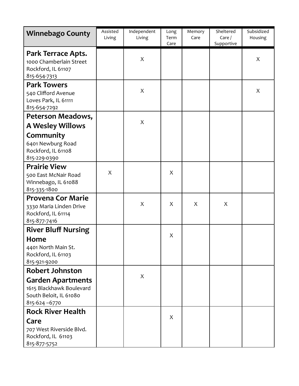| <b>Winnebago County</b>                                                                                                  | Assisted<br>Living | Independent<br>Living | Long<br>Term<br>Care | Memory<br>Care | Sheltered<br>Care/<br>Supportive | Subsidized<br>Housing |
|--------------------------------------------------------------------------------------------------------------------------|--------------------|-----------------------|----------------------|----------------|----------------------------------|-----------------------|
| Park Terrace Apts.<br>1000 Chamberlain Street<br>Rockford, IL 61107<br>815-654-7313                                      |                    | X                     |                      |                |                                  | X                     |
| <b>Park Towers</b><br>540 Clifford Avenue<br>Loves Park, IL 61111<br>815-654-7292                                        |                    | X                     |                      |                |                                  | X                     |
| Peterson Meadows,                                                                                                        |                    |                       |                      |                |                                  |                       |
| <b>A Wesley Willows</b>                                                                                                  |                    | $\mathsf{X}$          |                      |                |                                  |                       |
| Community<br>6401 Newburg Road<br>Rockford, IL 61108<br>815-229-0390                                                     |                    |                       |                      |                |                                  |                       |
| <b>Prairie View</b><br>500 East McNair Road<br>Winnebago, IL 61088<br>815-335-1800                                       | X                  |                       | X                    |                |                                  |                       |
| <b>Provena Cor Marie</b><br>3330 Maria Linden Drive<br>Rockford, IL 61114<br>815-877-7416                                |                    | $\mathsf{X}$          | X                    | X              | X                                |                       |
| <b>River Bluff Nursing</b><br>Home<br>4401 North Main St.<br>Rockford, IL 61103<br>815-921-9200                          |                    |                       | X                    |                |                                  |                       |
| <b>Robert Johnston</b><br><b>Garden Apartments</b><br>1615 Blackhawk Boulevard<br>South Beloit, IL 61080<br>815-624-6770 |                    | X                     |                      |                |                                  |                       |
| <b>Rock River Health</b><br>Care<br>707 West Riverside Blvd.<br>Rockford, IL 61103<br>815-877-5752                       |                    |                       | X                    |                |                                  |                       |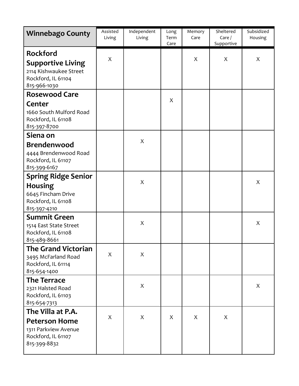| <b>Winnebago County</b>                                                                                     | Assisted<br>Living | Independent<br>Living | Long<br>Term<br>Care | Memory<br>Care | Sheltered<br>Care/<br>Supportive | Subsidized<br>Housing |
|-------------------------------------------------------------------------------------------------------------|--------------------|-----------------------|----------------------|----------------|----------------------------------|-----------------------|
| <b>Rockford</b><br><b>Supportive Living</b><br>2114 Kishwaukee Street<br>Rockford, IL 61104<br>815-966-1030 | X                  |                       |                      | X              | X                                | X                     |
| <b>Rosewood Care</b>                                                                                        |                    |                       | X                    |                |                                  |                       |
| Center<br>1660 South Mulford Road<br>Rockford, IL 61108<br>815-397-8700                                     |                    |                       |                      |                |                                  |                       |
| Siena on                                                                                                    |                    | X                     |                      |                |                                  |                       |
| <b>Brendenwood</b><br>4444 Brendenwood Road<br>Rockford, IL 61107<br>815-399-6167                           |                    |                       |                      |                |                                  |                       |
| <b>Spring Ridge Senior</b>                                                                                  |                    | X                     |                      |                |                                  | X                     |
| <b>Housing</b><br>6645 Fincham Drive<br>Rockford, IL 61108<br>815-397-4210                                  |                    |                       |                      |                |                                  |                       |
| <b>Summit Green</b>                                                                                         |                    | X                     |                      |                |                                  | X                     |
| 1514 East State Street<br>Rockford, IL 61108<br>815-489-8661                                                |                    |                       |                      |                |                                  |                       |
| <b>The Grand Victorian</b><br>3495 McFarland Road<br>Rockford, IL 61114<br>815-654-1400                     | X                  | X                     |                      |                |                                  |                       |
| <b>The Terrace</b>                                                                                          |                    |                       |                      |                |                                  |                       |
| 2321 Halsted Road<br>Rockford, IL 61103<br>815-654-7313                                                     |                    | X                     |                      |                |                                  | X                     |
| The Villa at P.A.                                                                                           |                    |                       |                      |                |                                  |                       |
| <b>Peterson Home</b><br>1311 Parkview Avenue<br>Rockford, IL 61107<br>815-399-8832                          | X                  | X                     | X                    | X              | X                                |                       |